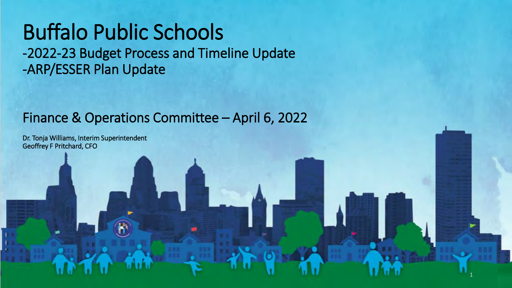# Buffalo Public Schools

-2022-23 Budget Process and Timeline Update -ARP/ESSER Plan Update

#### Finance & Operations Committee – April 6, 2022

1

Dr. Tonja Williams, Interim Superintendent Geoffrey F Pritchard, CFO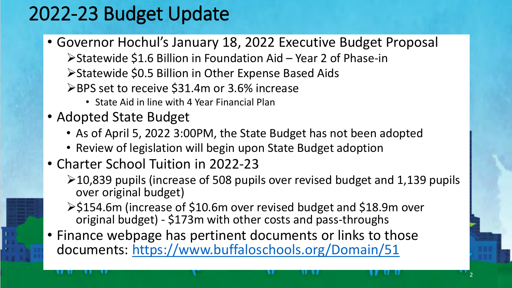## 2022-23 Budget Update

- Governor Hochul's January 18, 2022 Executive Budget Proposal ➢Statewide \$1.6 Billion in Foundation Aid – Year 2 of Phase-in ➢Statewide \$0.5 Billion in Other Expense Based Aids
	- ➢BPS set to receive \$31.4m or 3.6% increase
		- State Aid in line with 4 Year Financial Plan
- Adopted State Budget
	- As of April 5, 2022 3:00PM, the State Budget has not been adopted
	- Review of legislation will begin upon State Budget adoption
- Charter School Tuition in 2022-23
	- ➢10,839 pupils (increase of 508 pupils over revised budget and 1,139 pupils over original budget)

2

- ➢\$154.6m (increase of \$10.6m over revised budget and \$18.9m over original budget) - \$173m with other costs and pass-throughs
- Finance webpage has pertinent documents or links to those documents: <https://www.buffaloschools.org/Domain/51>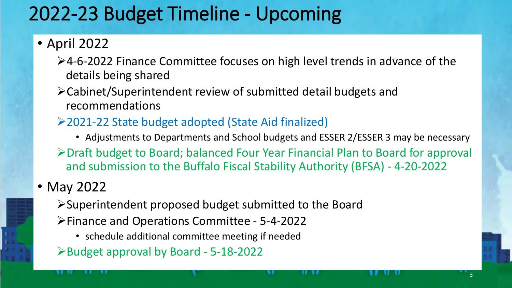## 2022-23 Budget Timeline - Upcoming

### • April 2022

- ➢4-6-2022 Finance Committee focuses on high level trends in advance of the details being shared
- ➢Cabinet/Superintendent review of submitted detail budgets and recommendations
- ➢2021-22 State budget adopted (State Aid finalized)
	- Adjustments to Departments and School budgets and ESSER 2/ESSER 3 may be necessary

3

➢Draft budget to Board; balanced Four Year Financial Plan to Board for approval and submission to the Buffalo Fiscal Stability Authority (BFSA) - 4-20-2022

### • May 2022

➢Superintendent proposed budget submitted to the Board

- ➢Finance and Operations Committee 5-4-2022
	- schedule additional committee meeting if needed
- ➢Budget approval by Board 5-18-2022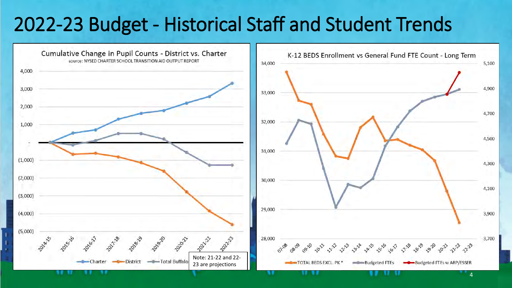### 2022-23 Budget - Historical Staff and Student Trends



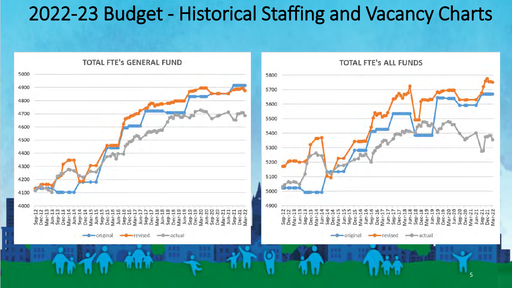### 2022-23 Budget - Historical Staffing and Vacancy Charts

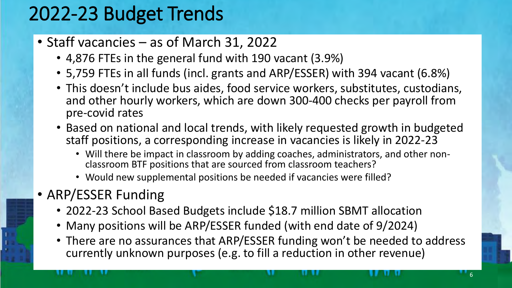## 2022-23 Budget Trends

- Staff vacancies as of March 31, 2022
	- 4,876 FTEs in the general fund with 190 vacant (3.9%)
	- 5,759 FTEs in all funds (incl. grants and ARP/ESSER) with 394 vacant (6.8%)
	- This doesn't include bus aides, food service workers, substitutes, custodians, and other hourly workers, which are down 300-400 checks per payroll from pre-covid rates
	- Based on national and local trends, with likely requested growth in budgeted staff positions, a corresponding increase in vacancies is likely in 2022-23
		- Will there be impact in classroom by adding coaches, administrators, and other nonclassroom BTF positions that are sourced from classroom teachers?
		- Would new supplemental positions be needed if vacancies were filled?
- ARP/ESSER Funding
	- 2022-23 School Based Budgets include \$18.7 million SBMT allocation
	- Many positions will be ARP/ESSER funded (with end date of 9/2024)
	- There are no assurances that ARP/ESSER funding won't be needed to address currently unknown purposes (e.g. to fill a reduction in other revenue)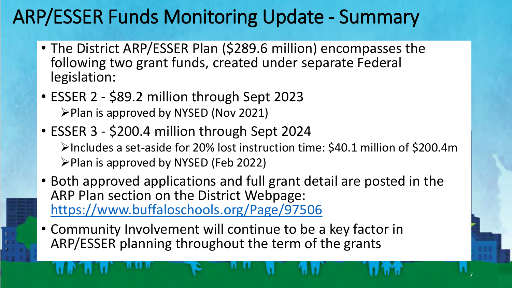## ARP/ESSER Funds Monitoring Update - Summary

- The District ARP/ESSER Plan (\$289.6 million) encompasses the following two grant funds, created under separate Federal legislation:
- ESSER 2 \$89.2 million through Sept 2023 ➢Plan is approved by NYSED (Nov 2021)
- ESSER 3 \$200.4 million through Sept 2024 ➢Includes a set-aside for 20% lost instruction time: \$40.1 million of \$200.4m ➢Plan is approved by NYSED (Feb 2022)
- Both approved applications and full grant detail are posted in the ARP Plan section on the District Webpage: <https://www.buffaloschools.org/Page/97506>

7

• Community Involvement will continue to be a key factor in ARP/ESSER planning throughout the term of the grants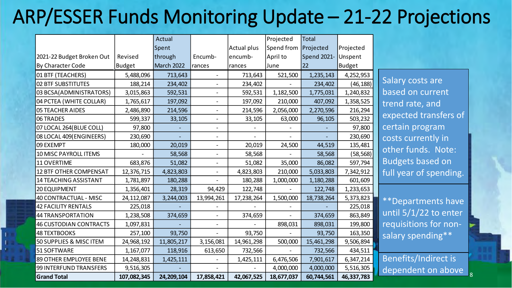## ARP/ESSER Funds Monitoring Update – 21-22 Projections

|                               |               | Actual     |                              |             | Projected  | <b>Total</b> |               |
|-------------------------------|---------------|------------|------------------------------|-------------|------------|--------------|---------------|
|                               |               | Spent      |                              | Actual plus | Spend from | Projected    | Projected     |
| 2021-22 Budget Broken Out     | Revised       | through    | Encumb-                      | encumb-     | April to   | Spend 2021-  | Unspent       |
| By Character Code             | <b>Budget</b> | March 2022 | rances                       | rances      | June       | 22           | <b>Budget</b> |
| 01 BTF (TEACHERS)             | 5,488,096     | 713,643    |                              | 713,643     | 521,500    | 1,235,143    | 4,252,953     |
| <b>02 BTF SUBSTITUTES</b>     | 188,214       | 234,402    |                              | 234,402     |            | 234,402      | (46,188)      |
| 03 BCSA(ADMINISTRATORS)       | 3,015,863     | 592,531    | $\overline{\phantom{0}}$     | 592,531     | 1,182,500  | 1,775,031    | 1,240,832     |
| 04 PCTEA (WHITE COLLAR)       | 1,765,617     | 197,092    |                              | 197,092     | 210,000    | 407,092      | 1,358,525     |
| <b>05 TEACHER AIDES</b>       | 2,486,890     | 214,596    | $\overline{\phantom{0}}$     | 214,596     | 2,056,000  | 2,270,596    | 216,294       |
| 06 TRADES                     | 599,337       | 33,105     | $\overline{\phantom{0}}$     | 33,105      | 63,000     | 96,105       | 503,232       |
| 07 LOCAL 264(BLUE COLL)       | 97,800        |            |                              |             |            |              | 97,800        |
| 08 LOCAL 409 (ENGINEERS)      | 230,690       |            |                              |             |            |              | 230,690       |
| 09 EXEMPT                     | 180,000       | 20,019     | $\qquad \qquad \blacksquare$ | 20,019      | 24,500     | 44,519       | 135,481       |
| 10 MISC PAYROLL ITEMS         |               | 58,568     |                              | 58,568      |            | 58,568       | (58, 568)     |
| 11 OVERTIME                   | 683,876       | 51,082     |                              | 51,082      | 35,000     | 86,082       | 597,794       |
| <b>12 BTF OTHER COMPENSAT</b> | 12,376,715    | 4,823,803  | $\qquad \qquad \blacksquare$ | 4,823,803   | 210,000    | 5,033,803    | 7,342,912     |
| <b>14 TEACHING ASSISTANT</b>  | 1,781,897     | 180,288    |                              | 180,288     | 1,000,000  | 1,180,288    | 601,609       |
| 20 EQUIPMENT                  | 1,356,401     | 28,319     | 94,429                       | 122,748     |            | 122,748      | 1,233,653     |
| <b>40 CONTRACTUAL - MISC</b>  | 24,112,087    | 3,244,003  | 13,994,261                   | 17,238,264  | 1,500,000  | 18,738,264   | 5,373,823     |
| <b>42 FACILITY RENTALS</b>    | 225,018       |            |                              |             |            |              | 225,018       |
| <b>44 TRANSPORTATION</b>      | 1,238,508     | 374,659    |                              | 374,659     |            | 374,659      | 863,849       |
| <b>46 CUSTODIAN CONTRACTS</b> | 1,097,831     |            |                              |             | 898,031    | 898,031      | 199,800       |
| <b>48 TEXTBOOKS</b>           | 257,100       | 93,750     |                              | 93,750      |            | 93,750       | 163,350       |
| 50 SUPPLIES & MISC ITEM       | 24,968,192    | 11,805,217 | 3,156,081                    | 14,961,298  | 500,000    | 15,461,298   | 9,506,894     |
| 51 SOFTWARE                   | 1,167,077     | 118,916    | 613,650                      | 732,566     |            | 732,566      | 434,511       |
| 89 OTHER EMPLOYEE BENE        | 14,248,831    | 1,425,111  |                              | 1,425,111   | 6,476,506  | 7,901,617    | 6,347,214     |
| 99 INTERFUND TRANSFERS        | 9,516,305     |            |                              |             | 4,000,000  | 4,000,000    | 5,516,305     |
| <b>Grand Total</b>            | 107,082,345   | 24,209,104 | 17,858,421                   | 42,067,525  | 18,677,037 | 60,744,561   | 46,337,783    |

Salary costs are based on current trend rate, and expected transfers of certain program costs currently in other funds. Note: Budgets based on full year of spending.

\*\*Departments have until 5/1/22 to enter requisitions for nonsalary spending\*\*

dependent on above  $\big|_8$ Benefits/Indirect is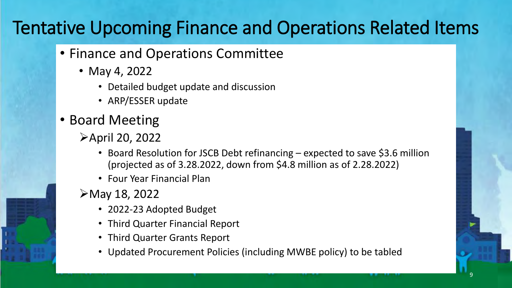### Tentative Upcoming Finance and Operations Related Items

- Finance and Operations Committee
	- May 4, 2022
		- Detailed budget update and discussion
		- ARP/ESSER update
- Board Meeting
	- ➢April 20, 2022
		- Board Resolution for JSCB Debt refinancing expected to save \$3.6 million (projected as of 3.28.2022, down from \$4.8 million as of 2.28.2022)
		- Four Year Financial Plan

#### ➢May 18, 2022

- 2022-23 Adopted Budget
- Third Quarter Financial Report
- Third Quarter Grants Report
- Updated Procurement Policies (including MWBE policy) to be tabled